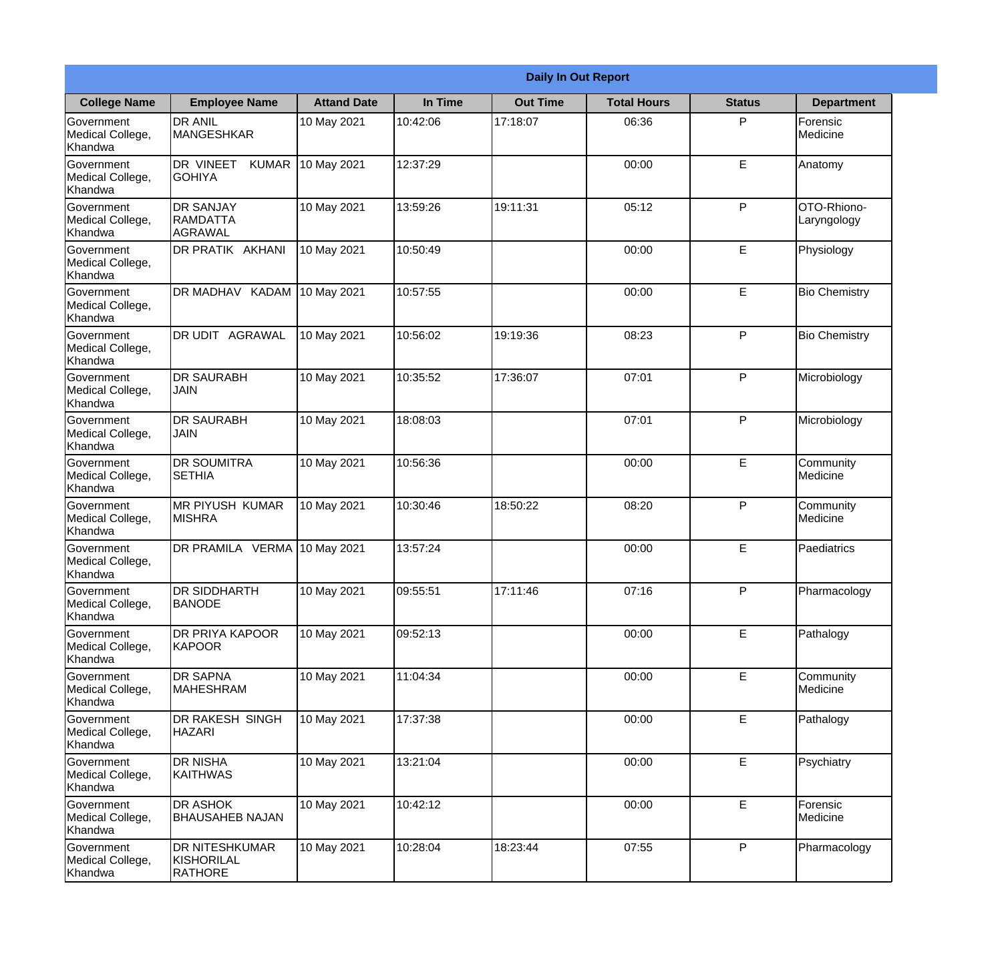|                                                  | <b>Daily In Out Report</b>                            |                    |          |                 |                    |               |                              |  |
|--------------------------------------------------|-------------------------------------------------------|--------------------|----------|-----------------|--------------------|---------------|------------------------------|--|
| <b>College Name</b>                              | <b>Employee Name</b>                                  | <b>Attand Date</b> | In Time  | <b>Out Time</b> | <b>Total Hours</b> | <b>Status</b> | <b>Department</b>            |  |
| Government<br>Medical College,<br>Khandwa        | <b>DR ANIL</b><br><b>MANGESHKAR</b>                   | 10 May 2021        | 10:42:06 | 17:18:07        | 06:36              | P             | Forensic<br>Medicine         |  |
| Government<br>Medical College,<br>Khandwa        | DR VINEET<br><b>KUMAR</b><br><b>GOHIYA</b>            | 10 May 2021        | 12:37:29 |                 | 00:00              | E             | Anatomy                      |  |
| <b>Government</b><br>Medical College,<br>Khandwa | <b>DR SANJAY</b><br><b>RAMDATTA</b><br>AGRAWAL        | 10 May 2021        | 13:59:26 | 19:11:31        | 05:12              | P             | OTO-Rhiono-<br>Laryngology   |  |
| <b>Government</b><br>Medical College,<br>Khandwa | <b>DR PRATIK AKHANI</b>                               | 10 May 2021        | 10:50:49 |                 | 00:00              | E             | Physiology                   |  |
| Government<br>Medical College,<br>Khandwa        | <b>DR MADHAV KADAM</b>                                | 10 May 2021        | 10:57:55 |                 | 00:00              | E             | <b>Bio Chemistry</b>         |  |
| Government<br>Medical College,<br>Khandwa        | DR UDIT AGRAWAL                                       | 10 May 2021        | 10:56:02 | 19:19:36        | 08:23              | P             | <b>Bio Chemistry</b>         |  |
| <b>Government</b><br>Medical College,<br>Khandwa | <b>DR SAURABH</b><br><b>JAIN</b>                      | 10 May 2021        | 10:35:52 | 17:36:07        | 07:01              | P             | Microbiology                 |  |
| <b>Government</b><br>Medical College,<br>Khandwa | <b>DR SAURABH</b><br><b>JAIN</b>                      | 10 May 2021        | 18:08:03 |                 | 07:01              | P             | Microbiology                 |  |
| Government<br>Medical College,<br>Khandwa        | <b>DR SOUMITRA</b><br><b>SETHIA</b>                   | 10 May 2021        | 10:56:36 |                 | 00:00              | E             | Community<br>Medicine        |  |
| Government<br>Medical College,<br>Khandwa        | <b>MR PIYUSH KUMAR</b><br><b>MISHRA</b>               | 10 May 2021        | 10:30:46 | 18:50:22        | 08:20              | P             | Community<br><b>Medicine</b> |  |
| Government<br>Medical College,<br>Khandwa        | DR PRAMILA VERMA 10 May 2021                          |                    | 13:57:24 |                 | 00:00              | E             | Paediatrics                  |  |
| Government<br>Medical College,<br>Khandwa        | <b>DR SIDDHARTH</b><br><b>BANODE</b>                  | 10 May 2021        | 09:55:51 | 17:11:46        | 07:16              | P             | Pharmacology                 |  |
| Government<br>Medical College,<br>Khandwa        | <b>DR PRIYA KAPOOR</b><br><b>KAPOOR</b>               | 10 May 2021        | 09:52:13 |                 | 00:00              | E             | Pathalogy                    |  |
| Government<br>Medical College,<br>Khandwa        | <b>DR SAPNA</b><br><b>MAHESHRAM</b>                   | 10 May 2021        | 11:04:34 |                 | 00:00              | $\mathsf E$   | Community<br>Medicine        |  |
| <b>Government</b><br>Medical College,<br>Khandwa | <b>DR RAKESH SINGH</b><br><b>HAZARI</b>               | 10 May 2021        | 17:37:38 |                 | 00:00              | E             | Pathalogy                    |  |
| Government<br>Medical College,<br>Khandwa        | <b>DR NISHA</b><br>KAITHWAS                           | 10 May 2021        | 13:21:04 |                 | 00:00              | E             | Psychiatry                   |  |
| Government<br>Medical College,<br>Khandwa        | <b>DR ASHOK</b><br><b>BHAUSAHEB NAJAN</b>             | 10 May 2021        | 10:42:12 |                 | 00:00              | E             | Forensic<br>Medicine         |  |
| Government<br>Medical College,<br>Khandwa        | <b>DR NITESHKUMAR</b><br>KISHORILAL<br><b>RATHORE</b> | 10 May 2021        | 10:28:04 | 18:23:44        | 07:55              | P             | Pharmacology                 |  |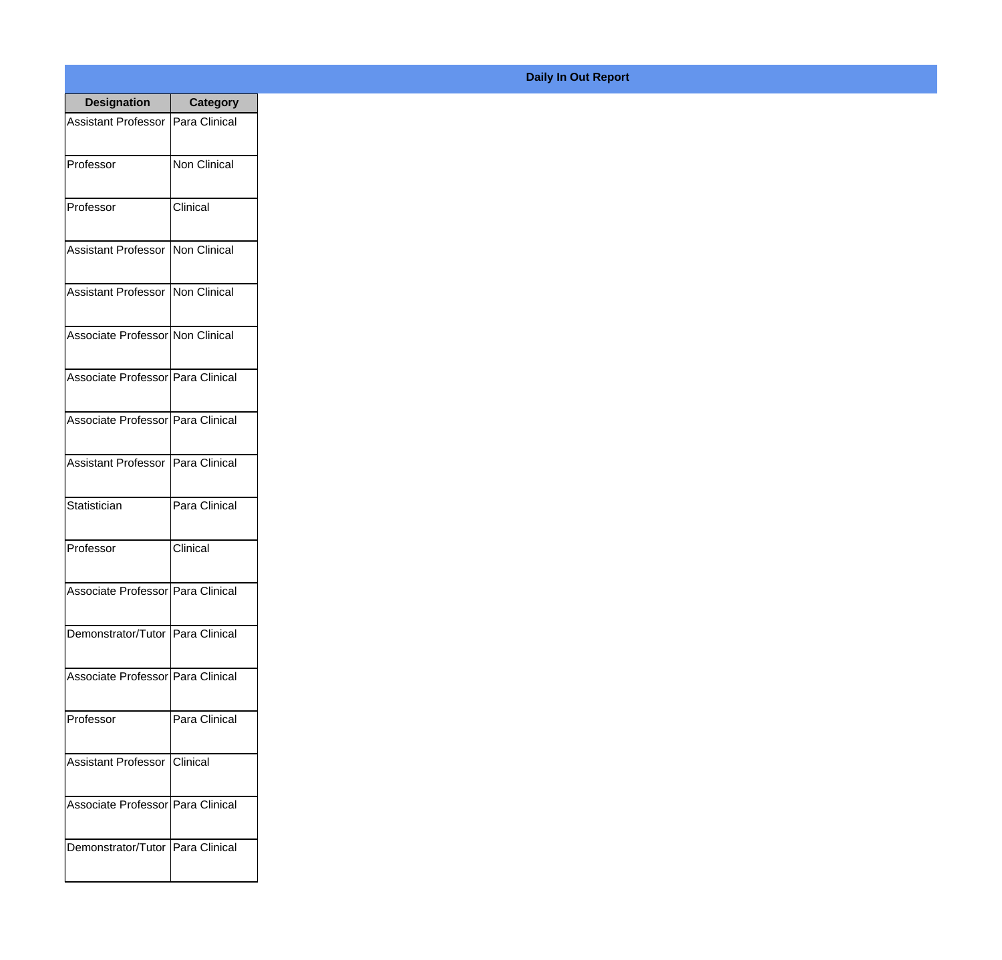| <b>Designation</b>                  | <b>Category</b>     |
|-------------------------------------|---------------------|
| Assistant Professor   Para Clinical |                     |
| Professor                           | <b>Non Clinical</b> |
| Professor                           | Clinical            |
| Assistant Professor                 | Non Clinical        |
| <b>Assistant Professor</b>          | Non Clinical        |
| Associate Professor Non Clinical    |                     |
| Associate Professor Para Clinical   |                     |
| Associate Professor Para Clinical   |                     |
| Assistant Professor   Para Clinical |                     |
| Statistician                        | Para Clinical       |
| Professor                           | Clinical            |
| Associate Professor Para Clinical   |                     |
| Demonstrator/Tutor   Para Clinical  |                     |
| Associate Professor Para Clinical   |                     |
| Professor                           | Para Clinical       |
| <b>Assistant Professor</b>          | Clinical            |
| Associate Professor   Para Clinical |                     |
| Demonstrator/Tutor                  | Para Clinical       |

## **Daily In Out Report**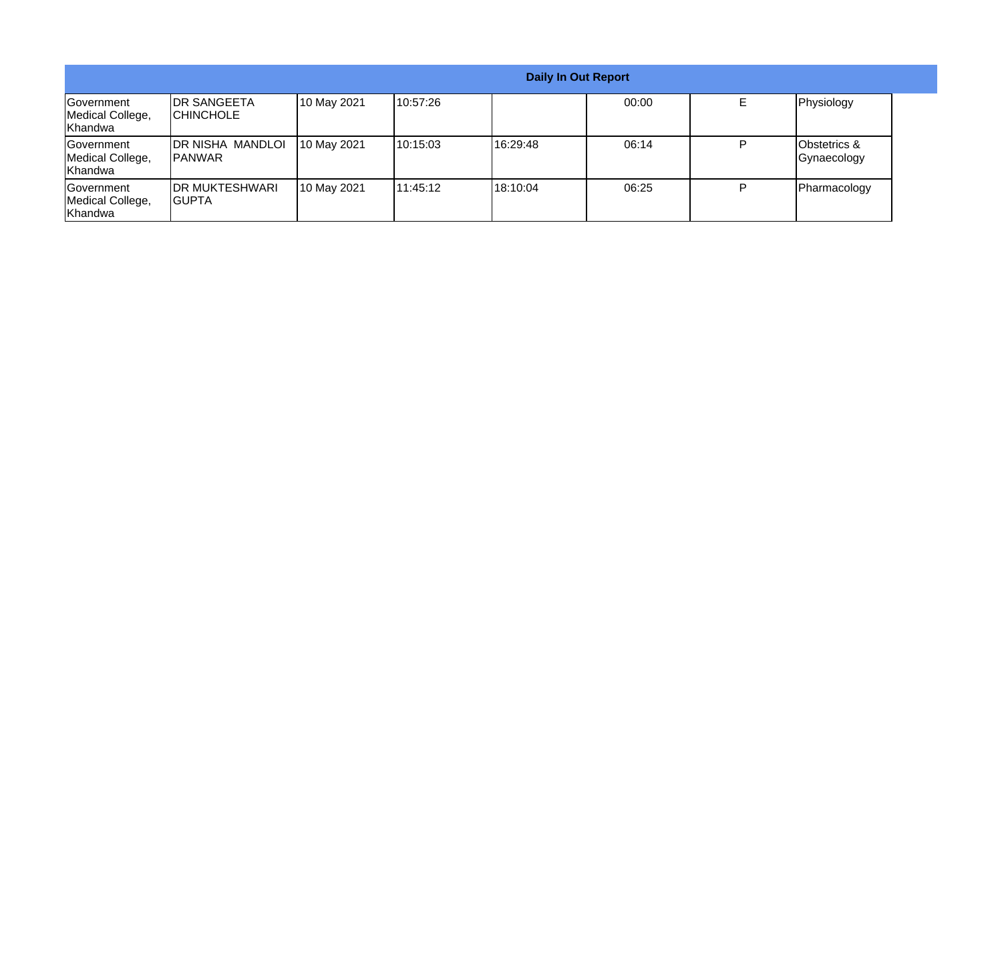|                                                  |                                           |             |           | <b>Daily In Out Report</b> |       |   |                             |
|--------------------------------------------------|-------------------------------------------|-------------|-----------|----------------------------|-------|---|-----------------------------|
| Government<br>Medical College,<br>Khandwa        | <b>IDR SANGEETA</b><br><b>ICHINCHOLE</b>  | 10 May 2021 | 10:57:26  |                            | 00:00 |   | Physiology                  |
| Government<br>Medical College,<br>Khandwa        | <b>DR NISHA MANDLOI</b><br><b>IPANWAR</b> | 10 May 2021 | 110:15:03 | 16:29:48                   | 06:14 |   | Obstetrics &<br>Gynaecology |
| <b>Government</b><br>Medical College,<br>Khandwa | <b>IDR MUKTESHWARI</b><br>IGUPTA          | 10 May 2021 | 111:45:12 | 118:10:04                  | 06:25 | ם | Pharmacology                |